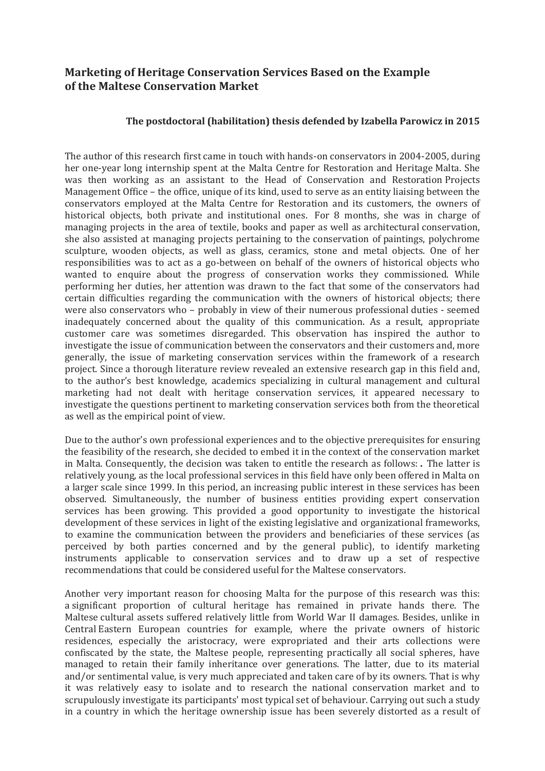## **Marketing of Heritage Conservation Services Based on the Example of the Maltese Conservation Market**

## **The postdoctoral (habilitation) thesis defended by Izabella Parowicz in 2015**

The author of this research first came in touch with hands-on conservators in 2004-2005, during her one-year long internship spent at the Malta Centre for Restoration and Heritage Malta. She was then working as an assistant to the Head of Conservation and Restoration Projects Management Office – the office, unique of its kind, used to serve as an entity liaising between the conservators employed at the Malta Centre for Restoration and its customers, the owners of historical objects, both private and institutional ones. For 8 months, she was in charge of managing projects in the area of textile, books and paper as well as architectural conservation, she also assisted at managing projects pertaining to the conservation of paintings, polychrome sculpture, wooden objects, as well as glass, ceramics, stone and metal objects. One of her responsibilities was to act as a go-between on behalf of the owners of historical objects who wanted to enquire about the progress of conservation works they commissioned. While performing her duties, her attention was drawn to the fact that some of the conservators had certain difficulties regarding the communication with the owners of historical objects; there were also conservators who – probably in view of their numerous professional duties - seemed inadequately concerned about the quality of this communication. As a result, appropriate customer care was sometimes disregarded. This observation has inspired the author to investigate the issue of communication between the conservators and their customers and, more generally, the issue of marketing conservation services within the framework of a research project. Since a thorough literature review revealed an extensive research gap in this field and, to the author's best knowledge, academics specializing in cultural management and cultural marketing had not dealt with heritage conservation services, it appeared necessary to investigate the questions pertinent to marketing conservation services both from the theoretical as well as the empirical point of view.

Due to the author's own professional experiences and to the objective prerequisites for ensuring the feasibility of the research, she decided to embed it in the context of the conservation market in Malta. Consequently, the decision was taken to entitle the research as follows: **.** The latter is relatively young, as the local professional services in this field have only been offered in Malta on a larger scale since 1999. In this period, an increasing public interest in these services has been observed. Simultaneously, the number of business entities providing expert conservation services has been growing. This provided a good opportunity to investigate the historical development of these services in light of the existing legislative and organizational frameworks, to examine the communication between the providers and beneficiaries of these services (as perceived by both parties concerned and by the general public), to identify marketing instruments applicable to conservation services and to draw up a set of respective recommendations that could be considered useful for the Maltese conservators.

Another very important reason for choosing Malta for the purpose of this research was this: a significant proportion of cultural heritage has remained in private hands there. The Maltese cultural assets suffered relatively little from World War II damages. Besides, unlike in Central Eastern European countries for example, where the private owners of historic residences, especially the aristocracy, were expropriated and their arts collections were confiscated by the state, the Maltese people, representing practically all social spheres, have managed to retain their family inheritance over generations. The latter, due to its material and/or sentimental value, is very much appreciated and taken care of by its owners. That is why it was relatively easy to isolate and to research the national conservation market and to scrupulously investigate its participants' most typical set of behaviour. Carrying out such a study in a country in which the heritage ownership issue has been severely distorted as a result of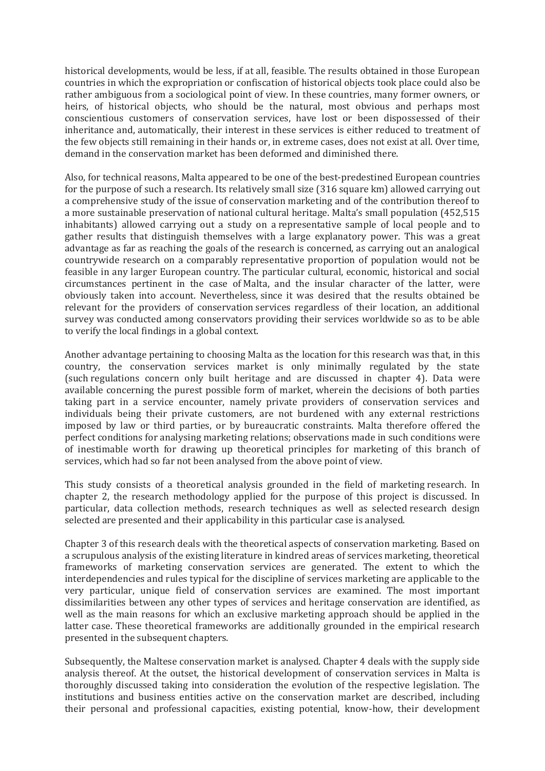historical developments, would be less, if at all, feasible. The results obtained in those European countries in which the expropriation or confiscation of historical objects took place could also be rather ambiguous from a sociological point of view. In these countries, many former owners, or heirs, of historical objects, who should be the natural, most obvious and perhaps most conscientious customers of conservation services, have lost or been dispossessed of their inheritance and, automatically, their interest in these services is either reduced to treatment of the few objects still remaining in their hands or, in extreme cases, does not exist at all. Over time, demand in the conservation market has been deformed and diminished there.

Also, for technical reasons, Malta appeared to be one of the best-predestined European countries for the purpose of such a research. Its relatively small size (316 square km) allowed carrying out a comprehensive study of the issue of conservation marketing and of the contribution thereof to a more sustainable preservation of national cultural heritage. Malta's small population (452,515 inhabitants) allowed carrying out a study on a representative sample of local people and to gather results that distinguish themselves with a large explanatory power. This was a great advantage as far as reaching the goals of the research is concerned, as carrying out an analogical countrywide research on a comparably representative proportion of population would not be feasible in any larger European country. The particular cultural, economic, historical and social circumstances pertinent in the case of Malta, and the insular character of the latter, were obviously taken into account. Nevertheless, since it was desired that the results obtained be relevant for the providers of conservation services regardless of their location, an additional survey was conducted among conservators providing their services worldwide so as to be able to verify the local findings in a global context.

Another advantage pertaining to choosing Malta as the location for this research was that, in this country, the conservation services market is only minimally regulated by the state (such regulations concern only built heritage and are discussed in chapter 4). Data were available concerning the purest possible form of market, wherein the decisions of both parties taking part in a service encounter, namely private providers of conservation services and individuals being their private customers, are not burdened with any external restrictions imposed by law or third parties, or by bureaucratic constraints. Malta therefore offered the perfect conditions for analysing marketing relations; observations made in such conditions were of inestimable worth for drawing up theoretical principles for marketing of this branch of services, which had so far not been analysed from the above point of view.

This study consists of a theoretical analysis grounded in the field of marketing research. In chapter 2, the research methodology applied for the purpose of this project is discussed. In particular, data collection methods, research techniques as well as selected research design selected are presented and their applicability in this particular case is analysed.

Chapter 3 of this research deals with the theoretical aspects of conservation marketing. Based on a scrupulous analysis of the existing literature in kindred areas of services marketing, theoretical frameworks of marketing conservation services are generated. The extent to which the interdependencies and rules typical for the discipline of services marketing are applicable to the very particular, unique field of conservation services are examined. The most important dissimilarities between any other types of services and heritage conservation are identified, as well as the main reasons for which an exclusive marketing approach should be applied in the latter case. These theoretical frameworks are additionally grounded in the empirical research presented in the subsequent chapters.

Subsequently, the Maltese conservation market is analysed. Chapter 4 deals with the supply side analysis thereof. At the outset, the historical development of conservation services in Malta is thoroughly discussed taking into consideration the evolution of the respective legislation. The institutions and business entities active on the conservation market are described, including their personal and professional capacities, existing potential, know-how, their development